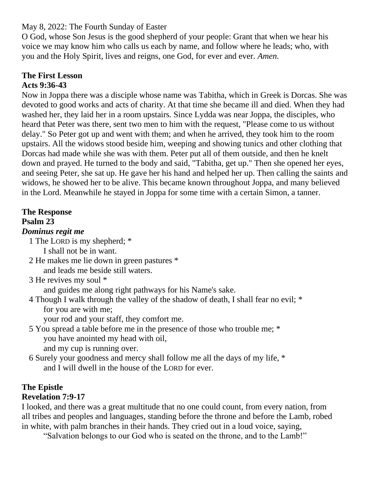May 8, 2022: The Fourth Sunday of Easter

O God, whose Son Jesus is the good shepherd of your people: Grant that when we hear his voice we may know him who calls us each by name, and follow where he leads; who, with you and the Holy Spirit, lives and reigns, one God, for ever and ever. *Amen.*

#### **The First Lesson Acts 9:36-43**

Now in Joppa there was a disciple whose name was Tabitha, which in Greek is Dorcas. She was devoted to good works and acts of charity. At that time she became ill and died. When they had washed her, they laid her in a room upstairs. Since Lydda was near Joppa, the disciples, who heard that Peter was there, sent two men to him with the request, "Please come to us without delay." So Peter got up and went with them; and when he arrived, they took him to the room upstairs. All the widows stood beside him, weeping and showing tunics and other clothing that Dorcas had made while she was with them. Peter put all of them outside, and then he knelt down and prayed. He turned to the body and said, "Tabitha, get up." Then she opened her eyes, and seeing Peter, she sat up. He gave her his hand and helped her up. Then calling the saints and widows, he showed her to be alive. This became known throughout Joppa, and many believed in the Lord. Meanwhile he stayed in Joppa for some time with a certain Simon, a tanner.

# **The Response**

## **Psalm 23**

## *Dominus regit me*

1 The LORD is my shepherd; \*

- I shall not be in want.
- 2 He makes me lie down in green pastures \* and leads me beside still waters.
- 3 He revives my soul \*

and guides me along right pathways for his Name's sake.

4 Though I walk through the valley of the shadow of death, I shall fear no evil; \* for you are with me;

your rod and your staff, they comfort me.

- 5 You spread a table before me in the presence of those who trouble me; \* you have anointed my head with oil, and my cup is running over.
- 6 Surely your goodness and mercy shall follow me all the days of my life, \* and I will dwell in the house of the LORD for ever.

#### **The Epistle Revelation 7:9-17**

I looked, and there was a great multitude that no one could count, from every nation, from all tribes and peoples and languages, standing before the throne and before the Lamb, robed in white, with palm branches in their hands. They cried out in a loud voice, saying,

"Salvation belongs to our God who is seated on the throne, and to the Lamb!"